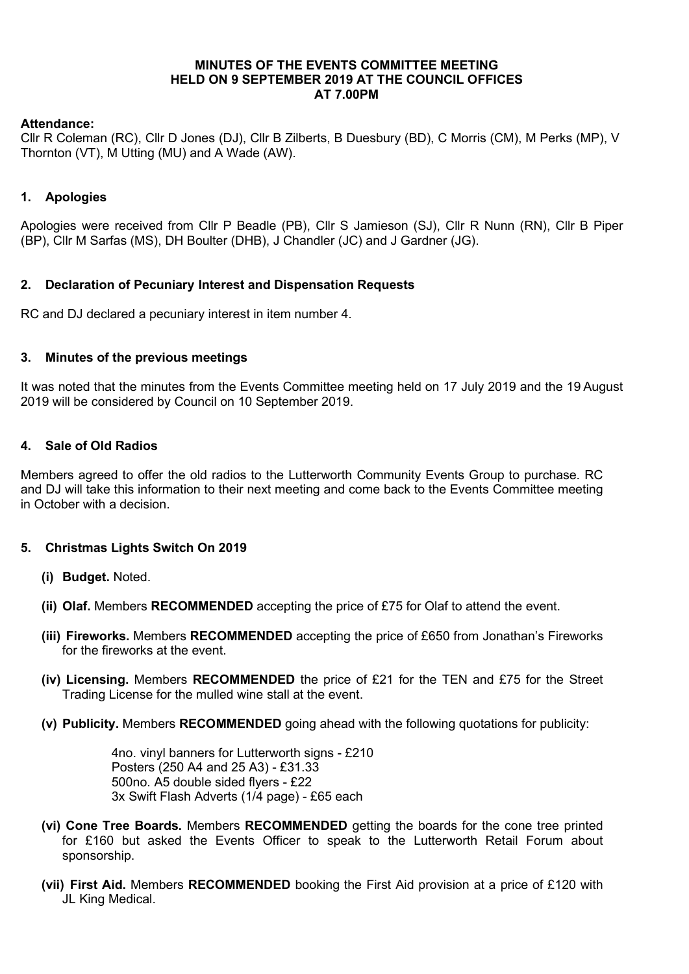### MINUTES OF THE EVENTS COMMITTEE MEETING HELD ON 9 SEPTEMBER 2019 AT THE COUNCIL OFFICES AT 7.00PM

# Attendance:

Cllr R Coleman (RC), Cllr D Jones (DJ), Cllr B Zilberts, B Duesbury (BD), C Morris (CM), M Perks (MP), V Thornton (VT), M Utting (MU) and A Wade (AW).

# 1. Apologies

Apologies were received from Cllr P Beadle (PB), Cllr S Jamieson (SJ), Cllr R Nunn (RN), Cllr B Piper (BP), Cllr M Sarfas (MS), DH Boulter (DHB), J Chandler (JC) and J Gardner (JG).

# 2. Declaration of Pecuniary Interest and Dispensation Requests

RC and DJ declared a pecuniary interest in item number 4.

#### 3. Minutes of the previous meetings

It was noted that the minutes from the Events Committee meeting held on 17 July 2019 and the 19 August 2019 will be considered by Council on 10 September 2019.

#### 4. Sale of Old Radios

Members agreed to offer the old radios to the Lutterworth Community Events Group to purchase. RC and DJ will take this information to their next meeting and come back to the Events Committee meeting in October with a decision.

# 5. Christmas Lights Switch On 2019

- (i) Budget. Noted.
- (ii) Olaf. Members RECOMMENDED accepting the price of £75 for Olaf to attend the event.
- (iii) Fireworks. Members RECOMMENDED accepting the price of £650 from Jonathan's Fireworks for the fireworks at the event.
- (iv) Licensing. Members RECOMMENDED the price of  $£21$  for the TEN and  $£75$  for the Street Trading License for the mulled wine stall at the event.
- (v) Publicity. Members RECOMMENDED going ahead with the following quotations for publicity:

4no. vinyl banners for Lutterworth signs - £210 Posters (250 A4 and 25 A3) - £31.33 500no. A5 double sided flyers - £22 3x Swift Flash Adverts (1/4 page) - £65 each

- (vi) Cone Tree Boards. Members RECOMMENDED getting the boards for the cone tree printed for £160 but asked the Events Officer to speak to the Lutterworth Retail Forum about sponsorship.
- (vii) First Aid. Members RECOMMENDED booking the First Aid provision at a price of £120 with JL King Medical.